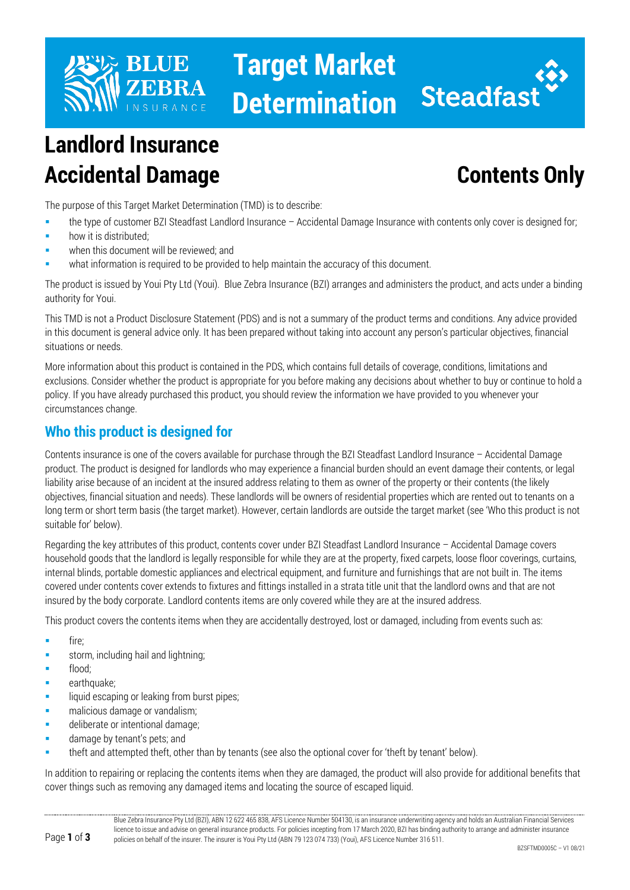

# **Target Market Determination**



## **Landlord Insurance Accidental Damage Contents Only**

The purpose of this Target Market Determination (TMD) is to describe:

- the type of customer BZI Steadfast Landlord Insurance Accidental Damage Insurance with contents only cover is designed for;
- how it is distributed;
- when this document will be reviewed; and
- what information is required to be provided to help maintain the accuracy of this document.

The product is issued by Youi Pty Ltd (Youi). Blue Zebra Insurance (BZI) arranges and administers the product, and acts under a binding authority for Youi.

This TMD is not a Product Disclosure Statement (PDS) and is not a summary of the product terms and conditions. Any advice provided in this document is general advice only. It has been prepared without taking into account any person's particular objectives, financial situations or needs.

More information about this product is contained in the PDS, which contains full details of coverage, conditions, limitations and exclusions. Consider whether the product is appropriate for you before making any decisions about whether to buy or continue to hold a policy. If you have already purchased this product, you should review the information we have provided to you whenever your circumstances change.

### **Who this product is designed for**

Contents insurance is one of the covers available for purchase through the BZI Steadfast Landlord Insurance – Accidental Damage product. The product is designed for landlords who may experience a financial burden should an event damage their contents, or legal liability arise because of an incident at the insured address relating to them as owner of the property or their contents (the likely objectives, financial situation and needs). These landlords will be owners of residential properties which are rented out to tenants on a long term or short term basis (the target market). However, certain landlords are outside the target market (see 'Who this product is not suitable for' below).

Regarding the key attributes of this product, contents cover under BZI Steadfast Landlord Insurance – Accidental Damage covers household goods that the landlord is legally responsible for while they are at the property, fixed carpets, loose floor coverings, curtains, internal blinds, portable domestic appliances and electrical equipment, and furniture and furnishings that are not built in. The items covered under contents cover extends to fixtures and fittings installed in a strata title unit that the landlord owns and that are not insured by the body corporate. Landlord contents items are only covered while they are at the insured address.

This product covers the contents items when they are accidentally destroyed, lost or damaged, including from events such as:

- fire;
- storm, including hail and lightning:
- flood;
- earthquake;
- liquid escaping or leaking from burst pipes;
- **nalicious damage or vandalism;**
- deliberate or intentional damage;
- damage by tenant's pets; and
- theft and attempted theft, other than by tenants (see also the optional cover for 'theft by tenant' below).

In addition to repairing or replacing the contents items when they are damaged, the product will also provide for additional benefits that cover things such as removing any damaged items and locating the source of escaped liquid.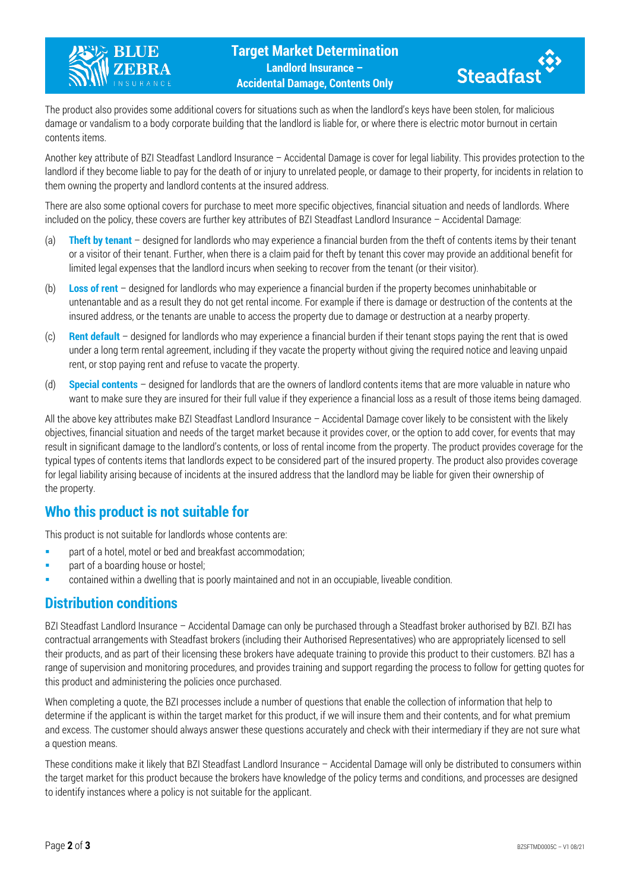



The product also provides some additional covers for situations such as when the landlord's keys have been stolen, for malicious damage or vandalism to a body corporate building that the landlord is liable for, or where there is electric motor burnout in certain contents items.

Another key attribute of BZI Steadfast Landlord Insurance – Accidental Damage is cover for legal liability. This provides protection to the landlord if they become liable to pay for the death of or injury to unrelated people, or damage to their property, for incidents in relation to them owning the property and landlord contents at the insured address.

There are also some optional covers for purchase to meet more specific objectives, financial situation and needs of landlords. Where included on the policy, these covers are further key attributes of BZI Steadfast Landlord Insurance – Accidental Damage:

- (a) **Theft by tenant** designed for landlords who may experience a financial burden from the theft of contents items by their tenant or a visitor of their tenant. Further, when there is a claim paid for theft by tenant this cover may provide an additional benefit for limited legal expenses that the landlord incurs when seeking to recover from the tenant (or their visitor).
- (b) **Loss of rent** designed for landlords who may experience a financial burden if the property becomes uninhabitable or untenantable and as a result they do not get rental income. For example if there is damage or destruction of the contents at the insured address, or the tenants are unable to access the property due to damage or destruction at a nearby property.
- (c) **Rent default** designed for landlords who may experience a financial burden if their tenant stops paying the rent that is owed under a long term rental agreement, including if they vacate the property without giving the required notice and leaving unpaid rent, or stop paying rent and refuse to vacate the property.
- (d) **Special contents** designed for landlords that are the owners of landlord contents items that are more valuable in nature who want to make sure they are insured for their full value if they experience a financial loss as a result of those items being damaged.

All the above key attributes make BZI Steadfast Landlord Insurance – Accidental Damage cover likely to be consistent with the likely objectives, financial situation and needs of the target market because it provides cover, or the option to add cover, for events that may result in significant damage to the landlord's contents, or loss of rental income from the property. The product provides coverage for the typical types of contents items that landlords expect to be considered part of the insured property. The product also provides coverage for legal liability arising because of incidents at the insured address that the landlord may be liable for given their ownership of the property.

#### **Who this product is not suitable for**

This product is not suitable for landlords whose contents are:

- **Part of a hotel, motel or bed and breakfast accommodation;**
- **part of a boarding house or hostel;**
- contained within a dwelling that is poorly maintained and not in an occupiable, liveable condition.

#### **Distribution conditions**

BZI Steadfast Landlord Insurance – Accidental Damage can only be purchased through a Steadfast broker authorised by BZI. BZI has contractual arrangements with Steadfast brokers (including their Authorised Representatives) who are appropriately licensed to sell their products, and as part of their licensing these brokers have adequate training to provide this product to their customers. BZI has a range of supervision and monitoring procedures, and provides training and support regarding the process to follow for getting quotes for this product and administering the policies once purchased.

When completing a quote, the BZI processes include a number of questions that enable the collection of information that help to determine if the applicant is within the target market for this product, if we will insure them and their contents, and for what premium and excess. The customer should always answer these questions accurately and check with their intermediary if they are not sure what a question means.

These conditions make it likely that BZI Steadfast Landlord Insurance – Accidental Damage will only be distributed to consumers within the target market for this product because the brokers have knowledge of the policy terms and conditions, and processes are designed to identify instances where a policy is not suitable for the applicant.